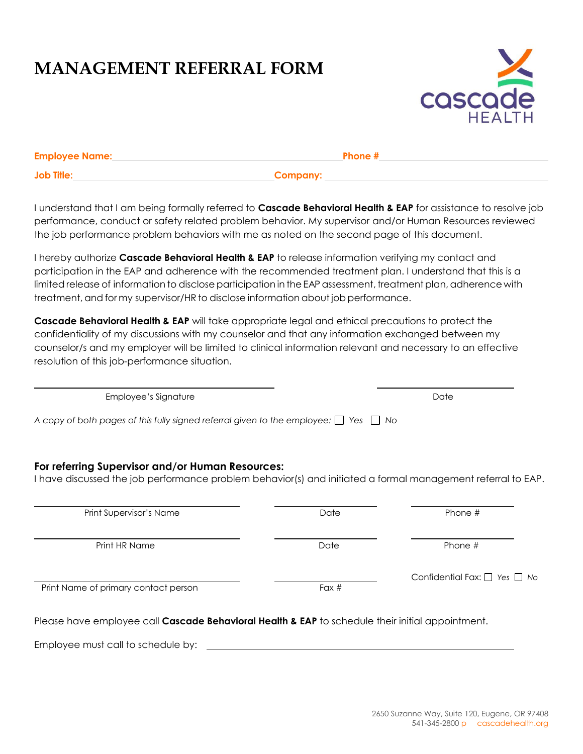## **MANAGEMENT REFERRAL FORM**



| <b>Employee Name:</b> | Phone #  |
|-----------------------|----------|
| <b>Job Title:</b>     | Company: |

I understand that I am being formally referred to **Cascade Behavioral Health & EAP** for assistance to resolve job performance, conduct or safety related problem behavior. My supervisor and/or Human Resources reviewed the job performance problem behaviors with me as noted on the second page of this document.

I hereby authorize **Cascade Behavioral Health & EAP** to release information verifying my contact and participation in the EAP and adherence with the recommended treatment plan. I understand that this is a limited release of information to disclose participation in the EAP assessment, treatment plan, adherence with treatment, and for my supervisor/HR to disclose information about job performance.

**Cascade Behavioral Health & EAP** will take appropriate legal and ethical precautions to protect the confidentiality of my discussions with my counselor and that any information exchanged between my counselor/s and my employer will be limited to clinical information relevant and necessary to an effective resolution of this job-performance situation.

| Employee's Signature                                                                                                                                            |      | Date    |  |  |
|-----------------------------------------------------------------------------------------------------------------------------------------------------------------|------|---------|--|--|
| A copy of both pages of this fully signed referral given to the employee: $\Box$ Yes $\Box$ No                                                                  |      |         |  |  |
| For referring Supervisor and/or Human Resources:<br>I have discussed the job performance problem behavior(s) and initiated a formal management referral to EAP. |      |         |  |  |
|                                                                                                                                                                 |      |         |  |  |
| Print Supervisor's Name                                                                                                                                         | Date | Phone # |  |  |
| Print HR Name                                                                                                                                                   | Date | Phone # |  |  |

Please have employee call **Cascade Behavioral Health & EAP** to schedule their initial appointment.

Employee must call to schedule by: